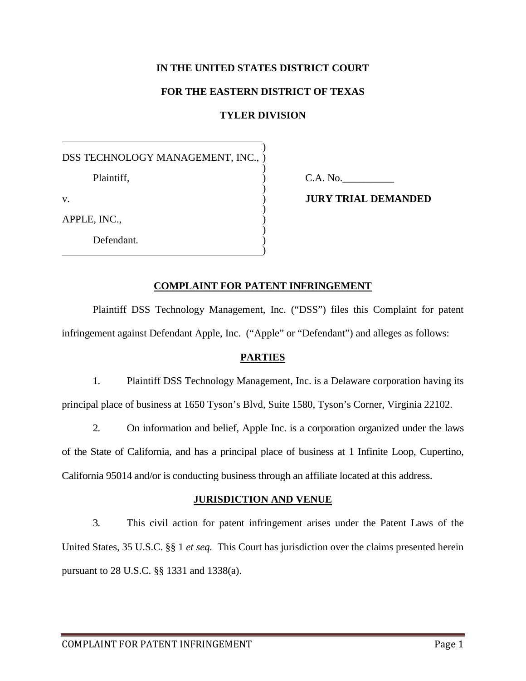# **IN THE UNITED STATES DISTRICT COURT**

### **FOR THE EASTERN DISTRICT OF TEXAS**

# **TYLER DIVISION**

) ) ) ) ) ) ) )

DSS TECHNOLOGY MANAGEMENT, INC., ) ) )

Plaintiff*,*

v.

APPLE, INC.,

Defendant*.*

C.A. No.\_\_\_\_\_\_\_\_\_\_

**JURY TRIAL DEMANDED**

### **COMPLAINT FOR PATENT INFRINGEMENT**

Plaintiff DSS Technology Management, Inc. ("DSS") files this Complaint for patent infringement against Defendant Apple, Inc. ("Apple" or "Defendant") and alleges as follows:

# **PARTIES**

1. Plaintiff DSS Technology Management, Inc. is a Delaware corporation having its principal place of business at 1650 Tyson's Blvd, Suite 1580, Tyson's Corner, Virginia 22102.

2. On information and belief, Apple Inc. is a corporation organized under the laws of the State of California, and has a principal place of business at 1 Infinite Loop, Cupertino, California 95014 and/or is conducting business through an affiliate located at this address.

### **JURISDICTION AND VENUE**

3. This civil action for patent infringement arises under the Patent Laws of the United States, 35 U.S.C. §§ 1 *et seq.* This Court has jurisdiction over the claims presented herein pursuant to 28 U.S.C. §§ 1331 and 1338(a).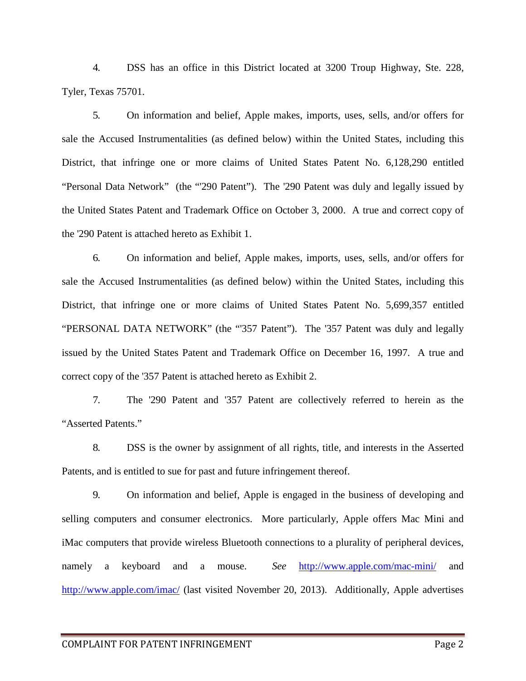4. DSS has an office in this District located at 3200 Troup Highway, Ste. 228, Tyler, Texas 75701.

5. On information and belief, Apple makes, imports, uses, sells, and/or offers for sale the Accused Instrumentalities (as defined below) within the United States, including this District, that infringe one or more claims of United States Patent No. 6,128,290 entitled "Personal Data Network" (the "'290 Patent"). The '290 Patent was duly and legally issued by the United States Patent and Trademark Office on October 3, 2000. A true and correct copy of the '290 Patent is attached hereto as Exhibit 1.

6. On information and belief, Apple makes, imports, uses, sells, and/or offers for sale the Accused Instrumentalities (as defined below) within the United States, including this District, that infringe one or more claims of United States Patent No. 5,699,357 entitled "PERSONAL DATA NETWORK" (the "'357 Patent"). The '357 Patent was duly and legally issued by the United States Patent and Trademark Office on December 16, 1997. A true and correct copy of the '357 Patent is attached hereto as Exhibit 2.

7. The '290 Patent and '357 Patent are collectively referred to herein as the "Asserted Patents."

8. DSS is the owner by assignment of all rights, title, and interests in the Asserted Patents, and is entitled to sue for past and future infringement thereof.

9. On information and belief, Apple is engaged in the business of developing and selling computers and consumer electronics. More particularly, Apple offers Mac Mini and iMac computers that provide wireless Bluetooth connections to a plurality of peripheral devices, namely a keyboard and a mouse. *See* <http://www.apple.com/mac-mini/> and <http://www.apple.com/imac/> (last visited November 20, 2013). Additionally, Apple advertises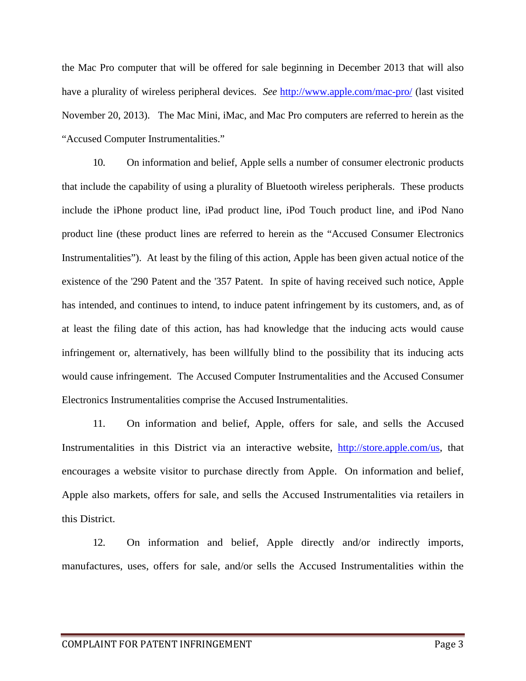the Mac Pro computer that will be offered for sale beginning in December 2013 that will also have a plurality of wireless peripheral devices. *See* <http://www.apple.com/mac-pro/> (last visited November 20, 2013). The Mac Mini, iMac, and Mac Pro computers are referred to herein as the "Accused Computer Instrumentalities."

10. On information and belief, Apple sells a number of consumer electronic products that include the capability of using a plurality of Bluetooth wireless peripherals. These products include the iPhone product line, iPad product line, iPod Touch product line, and iPod Nano product line (these product lines are referred to herein as the "Accused Consumer Electronics Instrumentalities"). At least by the filing of this action, Apple has been given actual notice of the existence of the '290 Patent and the '357 Patent. In spite of having received such notice, Apple has intended, and continues to intend, to induce patent infringement by its customers, and, as of at least the filing date of this action, has had knowledge that the inducing acts would cause infringement or, alternatively, has been willfully blind to the possibility that its inducing acts would cause infringement. The Accused Computer Instrumentalities and the Accused Consumer Electronics Instrumentalities comprise the Accused Instrumentalities.

11. On information and belief, Apple, offers for sale, and sells the Accused Instrumentalities in this District via an interactive website, [http://store.apple.com/us,](http://store.apple.com/us) that encourages a website visitor to purchase directly from Apple. On information and belief, Apple also markets, offers for sale, and sells the Accused Instrumentalities via retailers in this District.

12. On information and belief, Apple directly and/or indirectly imports, manufactures, uses, offers for sale, and/or sells the Accused Instrumentalities within the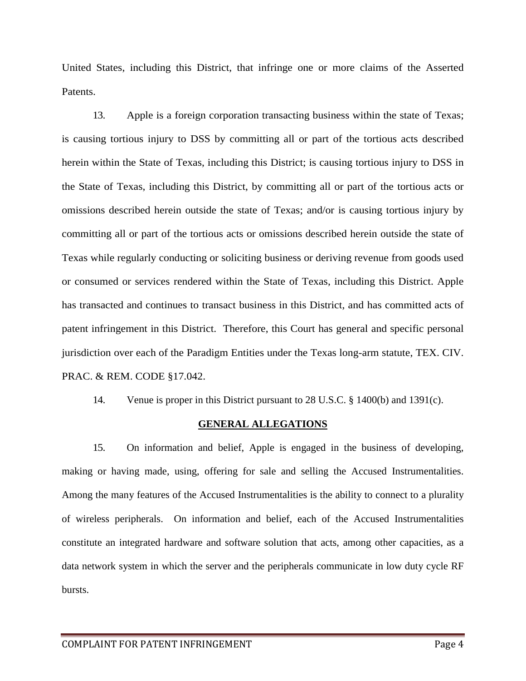United States, including this District, that infringe one or more claims of the Asserted Patents.

13. Apple is a foreign corporation transacting business within the state of Texas; is causing tortious injury to DSS by committing all or part of the tortious acts described herein within the State of Texas, including this District; is causing tortious injury to DSS in the State of Texas, including this District, by committing all or part of the tortious acts or omissions described herein outside the state of Texas; and/or is causing tortious injury by committing all or part of the tortious acts or omissions described herein outside the state of Texas while regularly conducting or soliciting business or deriving revenue from goods used or consumed or services rendered within the State of Texas, including this District. Apple has transacted and continues to transact business in this District, and has committed acts of patent infringement in this District. Therefore, this Court has general and specific personal jurisdiction over each of the Paradigm Entities under the Texas long-arm statute, TEX. CIV. PRAC. & REM. CODE §17.042.

14. Venue is proper in this District pursuant to 28 U.S.C. § 1400(b) and 1391(c).

### **GENERAL ALLEGATIONS**

15. On information and belief, Apple is engaged in the business of developing, making or having made, using, offering for sale and selling the Accused Instrumentalities. Among the many features of the Accused Instrumentalities is the ability to connect to a plurality of wireless peripherals. On information and belief, each of the Accused Instrumentalities constitute an integrated hardware and software solution that acts, among other capacities, as a data network system in which the server and the peripherals communicate in low duty cycle RF bursts.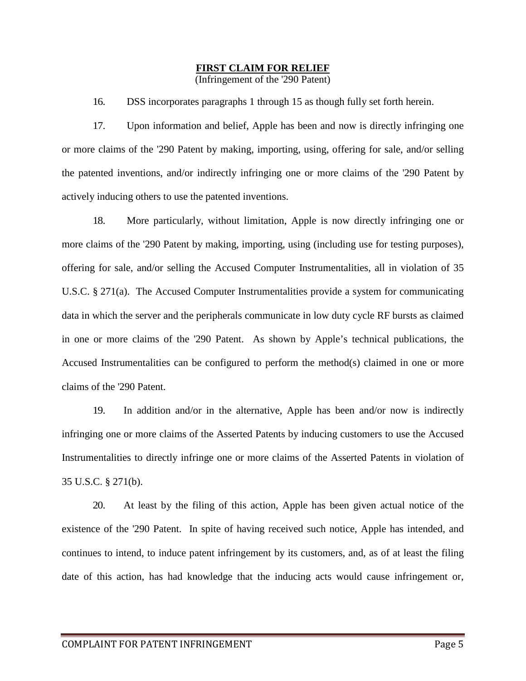### **FIRST CLAIM FOR RELIEF**

(Infringement of the '290 Patent)

16. DSS incorporates paragraphs 1 through 15 as though fully set forth herein.

17. Upon information and belief, Apple has been and now is directly infringing one or more claims of the '290 Patent by making, importing, using, offering for sale, and/or selling the patented inventions, and/or indirectly infringing one or more claims of the '290 Patent by actively inducing others to use the patented inventions.

18. More particularly, without limitation, Apple is now directly infringing one or more claims of the '290 Patent by making, importing, using (including use for testing purposes), offering for sale, and/or selling the Accused Computer Instrumentalities, all in violation of 35 U.S.C. § 271(a). The Accused Computer Instrumentalities provide a system for communicating data in which the server and the peripherals communicate in low duty cycle RF bursts as claimed in one or more claims of the '290 Patent. As shown by Apple's technical publications, the Accused Instrumentalities can be configured to perform the method(s) claimed in one or more claims of the '290 Patent.

19. In addition and/or in the alternative, Apple has been and/or now is indirectly infringing one or more claims of the Asserted Patents by inducing customers to use the Accused Instrumentalities to directly infringe one or more claims of the Asserted Patents in violation of 35 U.S.C. § 271(b).

20. At least by the filing of this action, Apple has been given actual notice of the existence of the '290 Patent. In spite of having received such notice, Apple has intended, and continues to intend, to induce patent infringement by its customers, and, as of at least the filing date of this action, has had knowledge that the inducing acts would cause infringement or,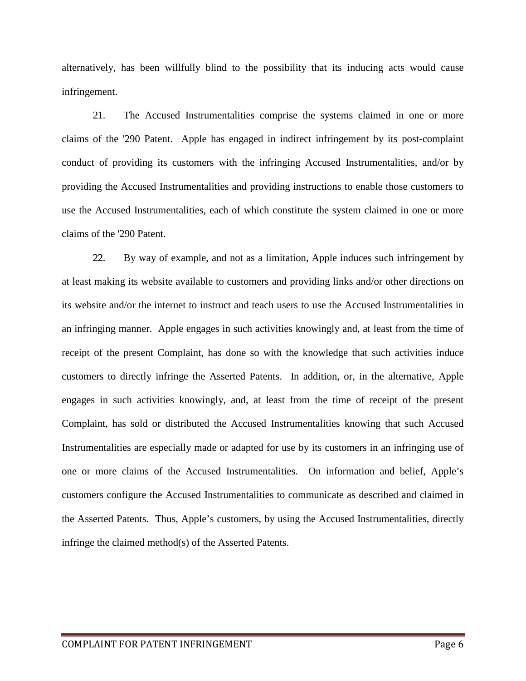alternatively, has been willfully blind to the possibility that its inducing acts would cause infringement.

21. The Accused Instrumentalities comprise the systems claimed in one or more claims of the '290 Patent. Apple has engaged in indirect infringement by its post-complaint conduct of providing its customers with the infringing Accused Instrumentalities, and/or by providing the Accused Instrumentalities and providing instructions to enable those customers to use the Accused Instrumentalities, each of which constitute the system claimed in one or more claims of the '290 Patent.

22. By way of example, and not as a limitation, Apple induces such infringement by at least making its website available to customers and providing links and/or other directions on its website and/or the internet to instruct and teach users to use the Accused Instrumentalities in an infringing manner. Apple engages in such activities knowingly and, at least from the time of receipt of the present Complaint, has done so with the knowledge that such activities induce customers to directly infringe the Asserted Patents. In addition, or, in the alternative, Apple engages in such activities knowingly, and, at least from the time of receipt of the present Complaint, has sold or distributed the Accused Instrumentalities knowing that such Accused Instrumentalities are especially made or adapted for use by its customers in an infringing use of one or more claims of the Accused Instrumentalities. On information and belief, Apple's customers configure the Accused Instrumentalities to communicate as described and claimed in the Asserted Patents. Thus, Apple's customers, by using the Accused Instrumentalities, directly infringe the claimed method(s) of the Asserted Patents.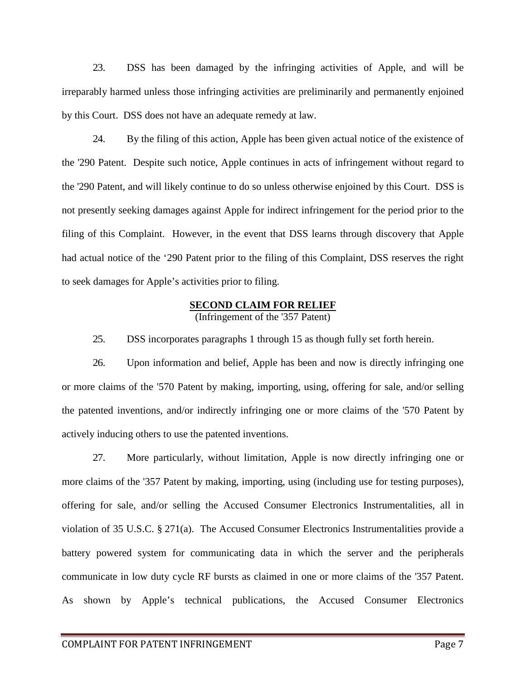23. DSS has been damaged by the infringing activities of Apple, and will be irreparably harmed unless those infringing activities are preliminarily and permanently enjoined by this Court. DSS does not have an adequate remedy at law.

24. By the filing of this action, Apple has been given actual notice of the existence of the '290 Patent. Despite such notice, Apple continues in acts of infringement without regard to the '290 Patent, and will likely continue to do so unless otherwise enjoined by this Court. DSS is not presently seeking damages against Apple for indirect infringement for the period prior to the filing of this Complaint. However, in the event that DSS learns through discovery that Apple had actual notice of the '290 Patent prior to the filing of this Complaint, DSS reserves the right to seek damages for Apple's activities prior to filing.

### **SECOND CLAIM FOR RELIEF**

(Infringement of the '357 Patent)

25. DSS incorporates paragraphs 1 through 15 as though fully set forth herein.

26. Upon information and belief, Apple has been and now is directly infringing one or more claims of the '570 Patent by making, importing, using, offering for sale, and/or selling the patented inventions, and/or indirectly infringing one or more claims of the '570 Patent by actively inducing others to use the patented inventions.

27. More particularly, without limitation, Apple is now directly infringing one or more claims of the '357 Patent by making, importing, using (including use for testing purposes), offering for sale, and/or selling the Accused Consumer Electronics Instrumentalities, all in violation of 35 U.S.C. § 271(a). The Accused Consumer Electronics Instrumentalities provide a battery powered system for communicating data in which the server and the peripherals communicate in low duty cycle RF bursts as claimed in one or more claims of the '357 Patent. As shown by Apple's technical publications, the Accused Consumer Electronics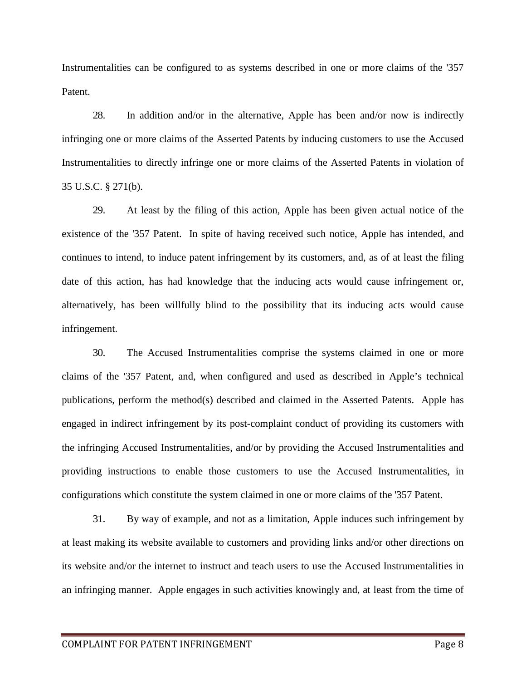Instrumentalities can be configured to as systems described in one or more claims of the '357 Patent.

28. In addition and/or in the alternative, Apple has been and/or now is indirectly infringing one or more claims of the Asserted Patents by inducing customers to use the Accused Instrumentalities to directly infringe one or more claims of the Asserted Patents in violation of 35 U.S.C. § 271(b).

29. At least by the filing of this action, Apple has been given actual notice of the existence of the '357 Patent. In spite of having received such notice, Apple has intended, and continues to intend, to induce patent infringement by its customers, and, as of at least the filing date of this action, has had knowledge that the inducing acts would cause infringement or, alternatively, has been willfully blind to the possibility that its inducing acts would cause infringement.

30. The Accused Instrumentalities comprise the systems claimed in one or more claims of the '357 Patent, and, when configured and used as described in Apple's technical publications, perform the method(s) described and claimed in the Asserted Patents. Apple has engaged in indirect infringement by its post-complaint conduct of providing its customers with the infringing Accused Instrumentalities, and/or by providing the Accused Instrumentalities and providing instructions to enable those customers to use the Accused Instrumentalities, in configurations which constitute the system claimed in one or more claims of the '357 Patent.

31. By way of example, and not as a limitation, Apple induces such infringement by at least making its website available to customers and providing links and/or other directions on its website and/or the internet to instruct and teach users to use the Accused Instrumentalities in an infringing manner. Apple engages in such activities knowingly and, at least from the time of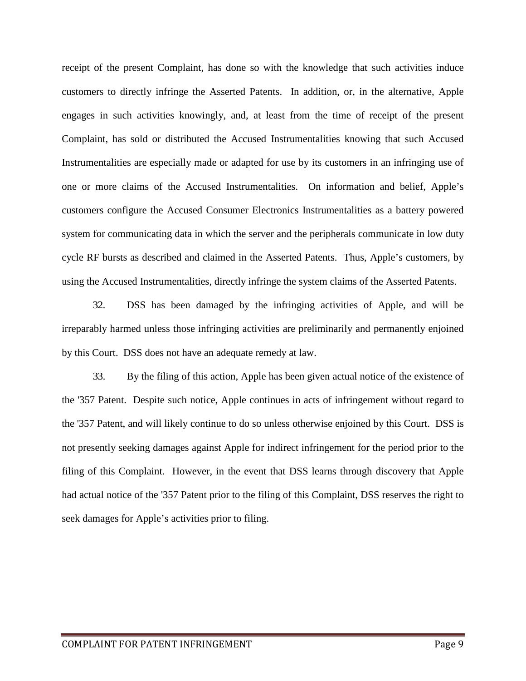receipt of the present Complaint, has done so with the knowledge that such activities induce customers to directly infringe the Asserted Patents. In addition, or, in the alternative, Apple engages in such activities knowingly, and, at least from the time of receipt of the present Complaint, has sold or distributed the Accused Instrumentalities knowing that such Accused Instrumentalities are especially made or adapted for use by its customers in an infringing use of one or more claims of the Accused Instrumentalities. On information and belief, Apple's customers configure the Accused Consumer Electronics Instrumentalities as a battery powered system for communicating data in which the server and the peripherals communicate in low duty cycle RF bursts as described and claimed in the Asserted Patents. Thus, Apple's customers, by using the Accused Instrumentalities, directly infringe the system claims of the Asserted Patents.

32. DSS has been damaged by the infringing activities of Apple, and will be irreparably harmed unless those infringing activities are preliminarily and permanently enjoined by this Court. DSS does not have an adequate remedy at law.

33. By the filing of this action, Apple has been given actual notice of the existence of the '357 Patent. Despite such notice, Apple continues in acts of infringement without regard to the '357 Patent, and will likely continue to do so unless otherwise enjoined by this Court. DSS is not presently seeking damages against Apple for indirect infringement for the period prior to the filing of this Complaint. However, in the event that DSS learns through discovery that Apple had actual notice of the '357 Patent prior to the filing of this Complaint, DSS reserves the right to seek damages for Apple's activities prior to filing.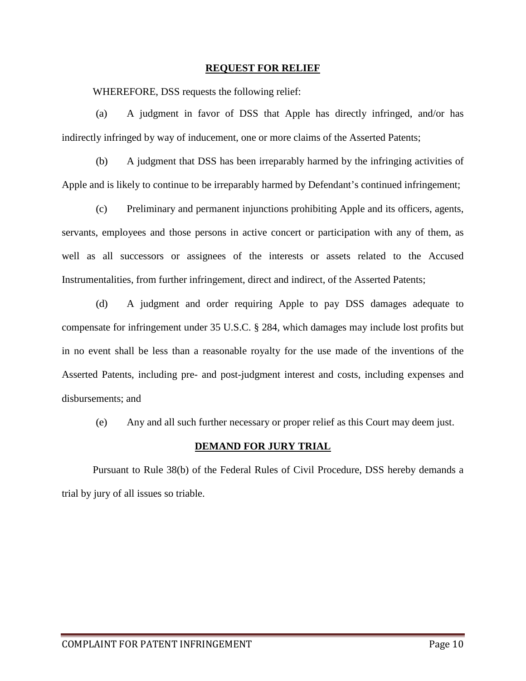#### **REQUEST FOR RELIEF**

WHEREFORE, DSS requests the following relief:

(a) A judgment in favor of DSS that Apple has directly infringed, and/or has indirectly infringed by way of inducement, one or more claims of the Asserted Patents;

(b) A judgment that DSS has been irreparably harmed by the infringing activities of Apple and is likely to continue to be irreparably harmed by Defendant's continued infringement;

(c) Preliminary and permanent injunctions prohibiting Apple and its officers, agents, servants, employees and those persons in active concert or participation with any of them, as well as all successors or assignees of the interests or assets related to the Accused Instrumentalities, from further infringement, direct and indirect, of the Asserted Patents;

(d) A judgment and order requiring Apple to pay DSS damages adequate to compensate for infringement under 35 U.S.C. § 284, which damages may include lost profits but in no event shall be less than a reasonable royalty for the use made of the inventions of the Asserted Patents, including pre- and post-judgment interest and costs, including expenses and disbursements; and

(e) Any and all such further necessary or proper relief as this Court may deem just.

### **DEMAND FOR JURY TRIAL**

Pursuant to Rule 38(b) of the Federal Rules of Civil Procedure, DSS hereby demands a trial by jury of all issues so triable.